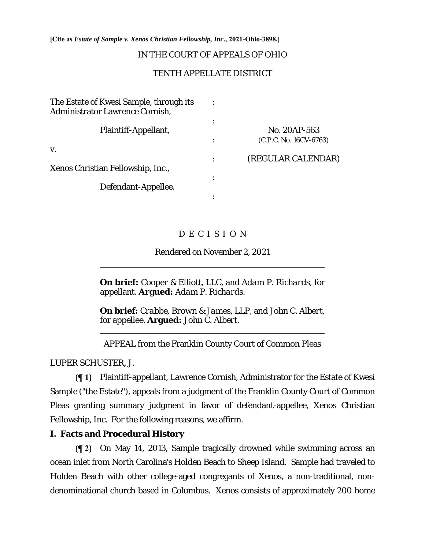**[Cite as** *Estate of Sample v. Xenos Christian Fellowship, Inc.***, 2021-Ohio-3898.]**

## IN THE COURT OF APPEALS OF OHIO

## TENTH APPELLATE DISTRICT

| The Estate of Kwesi Sample, through its<br>Administrator Lawrence Cornish, |                                        |
|----------------------------------------------------------------------------|----------------------------------------|
| Plaintiff-Appellant,                                                       | No. 20AP-563<br>(C.P.C. No. 16CV-6763) |
| V.                                                                         | (REGULAR CALENDAR)                     |
| Xenos Christian Fellowship, Inc.,                                          |                                        |
| Defendant-Appellee.                                                        |                                        |
|                                                                            |                                        |

# D E C I S I O N

Rendered on November 2, 2021

**On brief:** *Cooper & Elliott, LLC*, and *Adam P. Richards*, for appellant. **Argued:** *Adam P. Richards.*

**On brief:** *Crabbe, Brown & James, LLP*, and *John C. Albert*, for appellee. **Argued:** *John C. Albert.*

APPEAL from the Franklin County Court of Common Pleas

LUPER SCHUSTER, J.

 $\overline{a}$ 

 $\overline{a}$ 

 $\overline{a}$ 

**{¶ 1}** Plaintiff-appellant, Lawrence Cornish, Administrator for the Estate of Kwesi Sample ("the Estate"), appeals from a judgment of the Franklin County Court of Common Pleas granting summary judgment in favor of defendant-appellee, Xenos Christian Fellowship, Inc. For the following reasons, we affirm.

# **I. Facts and Procedural History**

**{¶ 2}** On May 14, 2013, Sample tragically drowned while swimming across an ocean inlet from North Carolina's Holden Beach to Sheep Island. Sample had traveled to Holden Beach with other college-aged congregants of Xenos, a non-traditional, nondenominational church based in Columbus. Xenos consists of approximately 200 home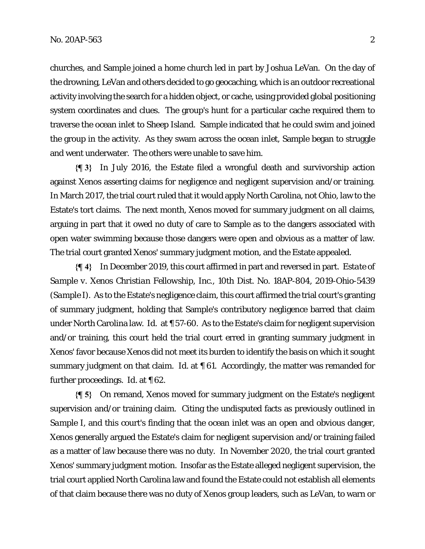churches, and Sample joined a home church led in part by Joshua LeVan. On the day of the drowning, LeVan and others decided to go geocaching, which is an outdoor recreational activity involving the search for a hidden object, or cache, using provided global positioning system coordinates and clues. The group's hunt for a particular cache required them to traverse the ocean inlet to Sheep Island. Sample indicated that he could swim and joined the group in the activity. As they swam across the ocean inlet, Sample began to struggle and went underwater. The others were unable to save him.

**{¶ 3}** In July 2016, the Estate filed a wrongful death and survivorship action against Xenos asserting claims for negligence and negligent supervision and/or training. In March 2017, the trial court ruled that it would apply North Carolina, not Ohio, law to the Estate's tort claims. The next month, Xenos moved for summary judgment on all claims, arguing in part that it owed no duty of care to Sample as to the dangers associated with open water swimming because those dangers were open and obvious as a matter of law. The trial court granted Xenos' summary judgment motion, and the Estate appealed.

**{¶ 4}** In December 2019, this court affirmed in part and reversed in part. *Estate of Sample v. Xenos Christian Fellowship, Inc.*, 10th Dist. No. 18AP-804, 2019-Ohio-5439 (*Sample I*). As to the Estate's negligence claim, this court affirmed the trial court's granting of summary judgment, holding that Sample's contributory negligence barred that claim under North Carolina law. *Id.* at ¶ 57-60. As to the Estate's claim for negligent supervision and/or training, this court held the trial court erred in granting summary judgment in Xenos' favor because Xenos did not meet its burden to identify the basis on which it sought summary judgment on that claim. *Id.* at ¶ 61. Accordingly, the matter was remanded for further proceedings. *Id.* at ¶ 62.

**{¶ 5}** On remand, Xenos moved for summary judgment on the Estate's negligent supervision and/or training claim. Citing the undisputed facts as previously outlined in *Sample I*, and this court's finding that the ocean inlet was an open and obvious danger, Xenos generally argued the Estate's claim for negligent supervision and/or training failed as a matter of law because there was no duty. In November 2020, the trial court granted Xenos' summary judgment motion. Insofar as the Estate alleged negligent supervision, the trial court applied North Carolina law and found the Estate could not establish all elements of that claim because there was no duty of Xenos group leaders, such as LeVan, to warn or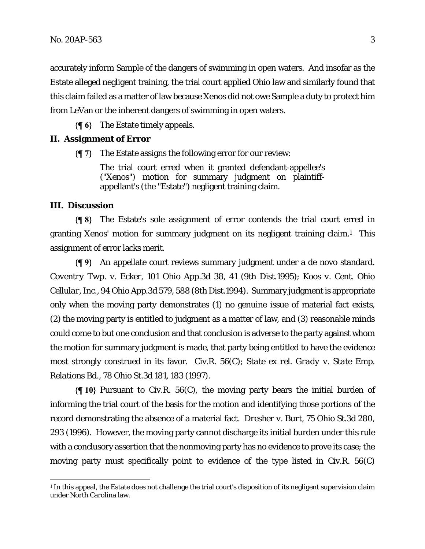accurately inform Sample of the dangers of swimming in open waters. And insofar as the Estate alleged negligent training, the trial court applied Ohio law and similarly found that this claim failed as a matter of law because Xenos did not owe Sample a duty to protect him from LeVan or the inherent dangers of swimming in open waters.

**{¶ 6}** The Estate timely appeals.

### **II. Assignment of Error**

**{¶ 7}** The Estate assigns the following error for our review:

The trial court erred when it granted defendant-appellee's ("Xenos") motion for summary judgment on plaintiffappellant's (the "Estate") negligent training claim.

### **III. Discussion**

**{¶ 8}** The Estate's sole assignment of error contends the trial court erred in granting Xenos' motion for summary judgment on its negligent training claim.1 This assignment of error lacks merit.

**{¶ 9}** An appellate court reviews summary judgment under a de novo standard. *Coventry Twp. v. Ecker*, 101 Ohio App.3d 38, 41 (9th Dist.1995); *Koos v. Cent. Ohio Cellular, Inc.*, 94 Ohio App.3d 579, 588 (8th Dist.1994). Summary judgment is appropriate only when the moving party demonstrates (1) no genuine issue of material fact exists, (2) the moving party is entitled to judgment as a matter of law, and (3) reasonable minds could come to but one conclusion and that conclusion is adverse to the party against whom the motion for summary judgment is made, that party being entitled to have the evidence most strongly construed in its favor. Civ.R. 56(C); *State ex rel. Grady v. State Emp. Relations Bd*., 78 Ohio St.3d 181, 183 (1997).

**{¶ 10}** Pursuant to Civ.R. 56(C), the moving party bears the initial burden of informing the trial court of the basis for the motion and identifying those portions of the record demonstrating the absence of a material fact. *Dresher v. Burt*, 75 Ohio St.3d 280, 293 (1996). However, the moving party cannot discharge its initial burden under this rule with a conclusory assertion that the nonmoving party has no evidence to prove its case; the moving party must specifically point to evidence of the type listed in Civ.R. 56(C)

<sup>&</sup>lt;sup>1</sup> In this appeal, the Estate does not challenge the trial court's disposition of its negligent supervision claim under North Carolina law.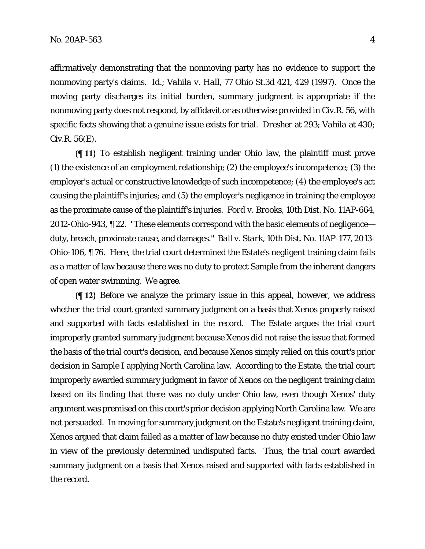affirmatively demonstrating that the nonmoving party has no evidence to support the nonmoving party's claims. *Id*.; *Vahila v. Hall*, 77 Ohio St.3d 421, 429 (1997). Once the moving party discharges its initial burden, summary judgment is appropriate if the nonmoving party does not respond, by affidavit or as otherwise provided in Civ.R. 56, with specific facts showing that a genuine issue exists for trial. *Dresher* at 293; *Vahila* at 430; Civ.R. 56(E).

**{¶ 11}** To establish negligent training under Ohio law, the plaintiff must prove (1) the existence of an employment relationship; (2) the employee's incompetence; (3) the employer's actual or constructive knowledge of such incompetence; (4) the employee's act causing the plaintiff's injuries; and (5) the employer's negligence in training the employee as the proximate cause of the plaintiff's injuries. *Ford v. Brooks*, 10th Dist. No. 11AP-664, 2012-Ohio-943, ¶ 22. "These elements correspond with the basic elements of negligence duty, breach, proximate cause, and damages." *Ball v. Stark*, 10th Dist. No. 11AP-177, 2013- Ohio-106, ¶ 76. Here, the trial court determined the Estate's negligent training claim fails as a matter of law because there was no duty to protect Sample from the inherent dangers of open water swimming. We agree.

**{¶ 12}** Before we analyze the primary issue in this appeal, however, we address whether the trial court granted summary judgment on a basis that Xenos properly raised and supported with facts established in the record. The Estate argues the trial court improperly granted summary judgment because Xenos did not raise the issue that formed the basis of the trial court's decision, and because Xenos simply relied on this court's prior decision in *Sample I* applying North Carolina law. According to the Estate, the trial court improperly awarded summary judgment in favor of Xenos on the negligent training claim based on its finding that there was no duty under Ohio law, even though Xenos' duty argument was premised on this court's prior decision applying North Carolina law. We are not persuaded. In moving for summary judgment on the Estate's negligent training claim, Xenos argued that claim failed as a matter of law because no duty existed under Ohio law in view of the previously determined undisputed facts. Thus, the trial court awarded summary judgment on a basis that Xenos raised and supported with facts established in the record.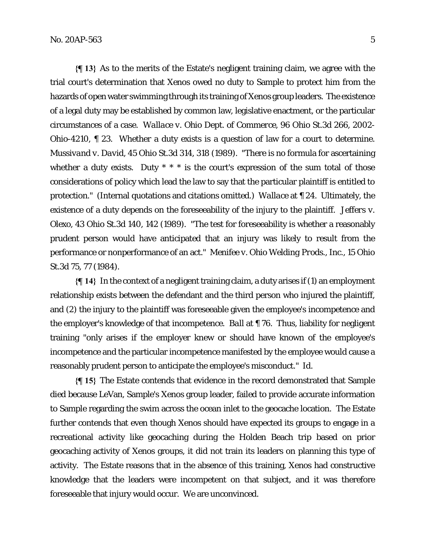**{¶ 13}** As to the merits of the Estate's negligent training claim, we agree with the trial court's determination that Xenos owed no duty to Sample to protect him from the hazards of open water swimming through its training of Xenos group leaders. The existence of a legal duty may be established by common law, legislative enactment, or the particular circumstances of a case. *Wallace v. Ohio Dept. of Commerce*, 96 Ohio St.3d 266, 2002- Ohio-4210, ¶ 23. Whether a duty exists is a question of law for a court to determine. *Mussivand v. David*, 45 Ohio St.3d 314, 318 (1989). "There is no formula for ascertaining whether a duty exists. Duty  $* * *$  is the court's expression of the sum total of those considerations of policy which lead the law to say that the particular plaintiff is entitled to protection." (Internal quotations and citations omitted.) *Wallace* at ¶ 24. Ultimately, the existence of a duty depends on the foreseeability of the injury to the plaintiff. *Jeffers v. Olexo*, 43 Ohio St.3d 140, 142 (1989). "The test for foreseeability is whether a reasonably prudent person would have anticipated that an injury was likely to result from the performance or nonperformance of an act." *Menifee v. Ohio Welding Prods., Inc.*, 15 Ohio St.3d 75, 77 (1984).

**{¶ 14}** In the context of a negligent training claim, a duty arises if (1) an employment relationship exists between the defendant and the third person who injured the plaintiff, and (2) the injury to the plaintiff was foreseeable given the employee's incompetence and the employer's knowledge of that incompetence. *Ball* at ¶ 76. Thus, liability for negligent training "only arises if the employer knew or should have known of the employee's incompetence and the particular incompetence manifested by the employee would cause a reasonably prudent person to anticipate the employee's misconduct." *Id.*

**{¶ 15}** The Estate contends that evidence in the record demonstrated that Sample died because LeVan, Sample's Xenos group leader, failed to provide accurate information to Sample regarding the swim across the ocean inlet to the geocache location. The Estate further contends that even though Xenos should have expected its groups to engage in a recreational activity like geocaching during the Holden Beach trip based on prior geocaching activity of Xenos groups, it did not train its leaders on planning this type of activity. The Estate reasons that in the absence of this training, Xenos had constructive knowledge that the leaders were incompetent on that subject, and it was therefore foreseeable that injury would occur. We are unconvinced.